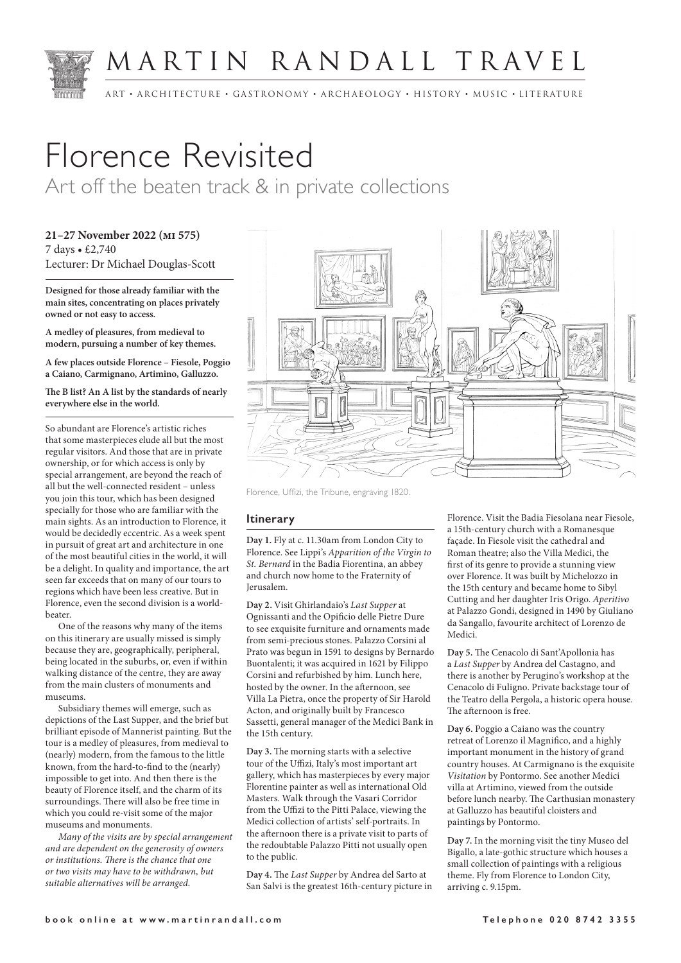

## MARTIN RANDALL TRAVEL

ART • ARCHITECTURE • GASTRONOMY • ARCHAEOLOGY • HISTORY • MUSIC • LITERATURE

# Florence Revisited

Art off the beaten track & in private collections

**21–27 November 2022 (mi 575)** 7 days • £2,740 Lecturer: Dr Michael Douglas-Scott

**Designed for those already familiar with the main sites, concentrating on places privately owned or not easy to access.**

**A medley of pleasures, from medieval to modern, pursuing a number of key themes.**

**A few places outside Florence – Fiesole, Poggio a Caiano, Carmignano, Artimino, Galluzzo.**

**The B list? An A list by the standards of nearly everywhere else in the world.**

So abundant are Florence's artistic riches that some masterpieces elude all but the most regular visitors. And those that are in private ownership, or for which access is only by special arrangement, are beyond the reach of all but the well-connected resident – unless you join this tour, which has been designed specially for those who are familiar with the main sights. As an introduction to Florence, it would be decidedly eccentric. As a week spent in pursuit of great art and architecture in one of the most beautiful cities in the world, it will be a delight. In quality and importance, the art seen far exceeds that on many of our tours to regions which have been less creative. But in Florence, even the second division is a worldbeater.

One of the reasons why many of the items on this itinerary are usually missed is simply because they are, geographically, peripheral, being located in the suburbs, or, even if within walking distance of the centre, they are away from the main clusters of monuments and museums.

Subsidiary themes will emerge, such as depictions of the Last Supper, and the brief but brilliant episode of Mannerist painting. But the tour is a medley of pleasures, from medieval to (nearly) modern, from the famous to the little known, from the hard-to-find to the (nearly) impossible to get into. And then there is the beauty of Florence itself, and the charm of its surroundings. There will also be free time in which you could re-visit some of the major museums and monuments.

*Many of the visits are by special arrangement and are dependent on the generosity of owners or institutions. There is the chance that one or two visits may have to be withdrawn, but suitable alternatives will be arranged.*



Florence, Uffizi, the Tribune, engraving 1820.

### **Itinerary**

**Day 1.** Fly at c. 11.30am from London City to Florence. See Lippi's *Apparition of the Virgin to St. Bernard* in the Badia Fiorentina, an abbey and church now home to the Fraternity of Jerusalem.

**Day 2.** Visit Ghirlandaio's *Last Supper* at Ognissanti and the Opificio delle Pietre Dure to see exquisite furniture and ornaments made from semi-precious stones. Palazzo Corsini al Prato was begun in 1591 to designs by Bernardo Buontalenti; it was acquired in 1621 by Filippo Corsini and refurbished by him. Lunch here, hosted by the owner. In the afternoon, see Villa La Pietra, once the property of Sir Harold Acton, and originally built by Francesco Sassetti, general manager of the Medici Bank in the 15th century.

**Day 3.** The morning starts with a selective tour of the Uffizi, Italy's most important art gallery, which has masterpieces by every major Florentine painter as well as international Old Masters. Walk through the Vasari Corridor from the Uffizi to the Pitti Palace, viewing the Medici collection of artists' self-portraits. In the afternoon there is a private visit to parts of the redoubtable Palazzo Pitti not usually open to the public.

**Day 4.** The *Last Supper* by Andrea del Sarto at San Salvi is the greatest 16th-century picture in Florence. Visit the Badia Fiesolana near Fiesole, a 15th-century church with a Romanesque façade. In Fiesole visit the cathedral and Roman theatre; also the Villa Medici, the first of its genre to provide a stunning view over Florence. It was built by Michelozzo in the 15th century and became home to Sibyl Cutting and her daughter Iris Origo. *Aperitivo*  at Palazzo Gondi, designed in 1490 by Giuliano da Sangallo, favourite architect of Lorenzo de Medici.

**Day 5.** The Cenacolo di Sant'Apollonia has a *Last Supper* by Andrea del Castagno, and there is another by Perugino's workshop at the Cenacolo di Fuligno. Private backstage tour of the Teatro della Pergola, a historic opera house. The afternoon is free.

**Day 6.** Poggio a Caiano was the country retreat of Lorenzo il Magnifico, and a highly important monument in the history of grand country houses. At Carmignano is the exquisite *Visitation* by Pontormo. See another Medici villa at Artimino, viewed from the outside before lunch nearby. The Carthusian monastery at Galluzzo has beautiful cloisters and paintings by Pontormo.

**Day 7.** In the morning visit the tiny Museo del Bigallo, a late-gothic structure which houses a small collection of paintings with a religious theme. Fly from Florence to London City, arriving c. 9.15pm.